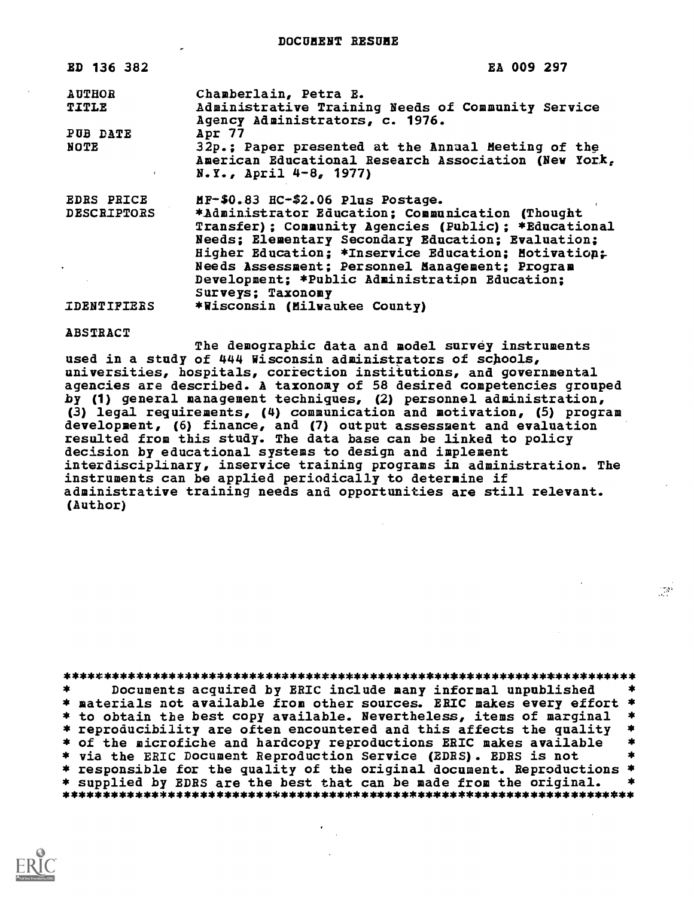DOCUMENT RESUME

| ED 136 382         | EA 009 297                                                                                                                                                                                                                                                                                                                 |
|--------------------|----------------------------------------------------------------------------------------------------------------------------------------------------------------------------------------------------------------------------------------------------------------------------------------------------------------------------|
| <b>AUTHOR</b>      | Chamberlain, Petra E.                                                                                                                                                                                                                                                                                                      |
| TITLE              | Administrative Training Needs of Community Service<br>Agency Administrators, c. 1976.                                                                                                                                                                                                                                      |
| PUB DATE           | Apr 77                                                                                                                                                                                                                                                                                                                     |
| NOTE<br>$\epsilon$ | 32p.; Paper presented at the Annual Meeting of the<br>American Educational Research Association (New York,<br>$N. Y.$ , April $4-8$ , 1977)                                                                                                                                                                                |
| <b>EDRS PRICE</b>  | $MF-$0.83$ $HC-$2.06$ $Plus$ Postage.                                                                                                                                                                                                                                                                                      |
| <b>DESCRIPTORS</b> | *Administrator Education; Communication (Thought<br>Transfer); Community Agencies (Public); *Educational<br>Needs; Elementary Secondary Education; Evaluation;<br>Higher Education; *Inservice Education; Motivation;<br>Needs Assessment; Personnel Management; Program<br>Development; *Public Administration Education; |
|                    | Surveys; Taxonomy                                                                                                                                                                                                                                                                                                          |
| <b>IDENTIFIERS</b> | *Wisconsin (Milwaukee County)                                                                                                                                                                                                                                                                                              |

#### ABSTRACT

The demographic data and model survey instruments used in a study of 444 Wisconsin administrators of schools, universities, hospitals, coriection institutions, and governmental agencies are described. A taxonomy of 58 desired competencies grouped by (1) general management techniques, (2) personnel administration, (3) legal requirements, (4) communication and motivation, (5) program development, (6) finance, and (7) output assessment and evaluation resulted from this study. The data base can be linked to policy decision by educational systems to design and implement interdisciplinary, inservice training programs in administration. The instruments can be applied periodically to determine if administrative training needs and opportunities are still relevant. (Author)

\*\*\*\*\*\*\*\*\*\*\*\*\*\*\*\*\*\*\*\*\*\*\*\*\*\*\*\*\*\*\*\*\*\*\*\*\*\*\*\*\*\*\*\*\*\*\*\*\*\*\*\*\*\*\*\*\*\*\*\*\*\*\*\*\*\*\*\*\*\*\* Documents acquired by ERIC include many informal unpublished  $\ast$ \* materials not available from other sources. ERIC makes every effort<br>\* to obtain the best copy available. Nevertheless, items of marginal \* reproducibility are often encountered and this affects the quality \*<br>\* of the microfiche and hardcopy reproductions ERIC makes available \*<br>\* via the ERIC Document Reproduction Service (EDRS). EDRS is not \* \* responsible for the quality of the original document. Reproductions \*<br>\* sunnlied by EDBS are the best that can be made from the original. \* \* supplied by EDRS are the best that can be made from the original. \*\*\*\*\*\*\*\*\*\*\*\*\*\*\*\*\*\*\*\*\*\*\*\*\*\*\*\*\*\*\*\*\*\*\*\*\*\*\*\*\*\*\*\*\*\*\*\*\*\*\*\*\*\*\*\*\*\*\*\*\*\*\*\*\*\*\*\*\*\*\*

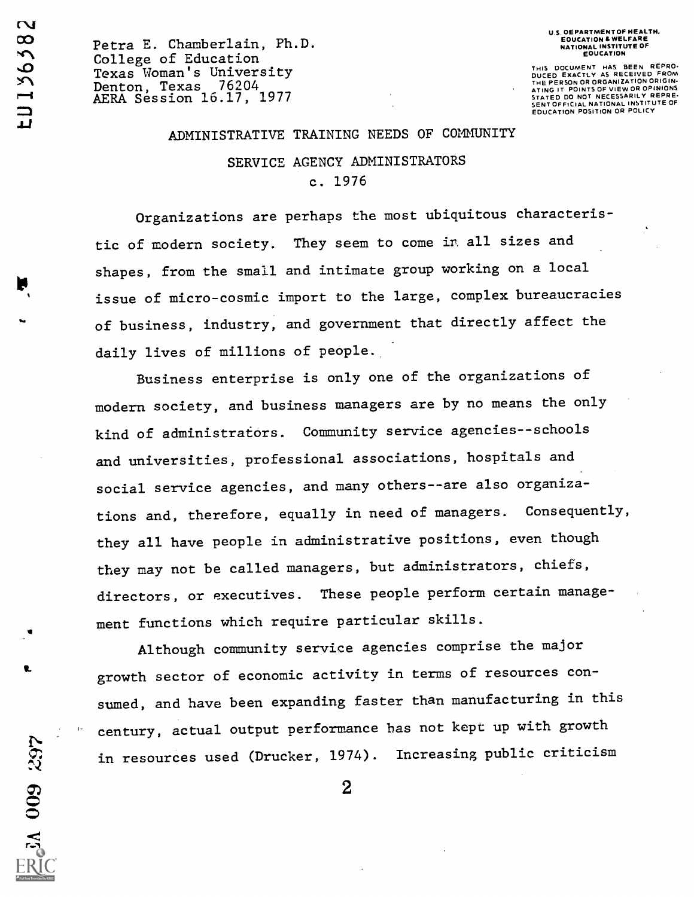SA 009 297

Petra E. Chamberlain, Ph.D. College of Education Texas Woman's University Denton, Texas 76204, 2007 AERA Session 16.17, 1977 U.S. OEPARTMENT OF HEALTH. EOUCATION & WELFARE NATIONAL INSTITUTE OF **EOUCATION** 

THIS DOCUMENT HAS BEEN REPRO. DUCED EXACTLY AS RECEIVED FROM THE PERSON OR ORGANIZATION ORIGIN-ATING IT POINTS OF VIEW OR OPINIONS<br>STATED DO NOT NECESSARILY REPRE-<br>SENT OFFICIAL NATIONAL INSTITUTE OF<br>EDUCATION POSITION OR POLICY

#### ADMINISTRATIVE TRAINING NEEDS OF COMMUNITY

### SERVICE AGENCY ADMINISTRATORS c. 1976

Organizations are perhaps the most ubiquitous characteristic of modern society. They seem to come ir all sizes and shapes, from the small and intimate group working on a local issue of micro-cosmic import to the large, complex bureaucracies of business, industry, and government that directly affect the daily lives of millions of people.

Business enterprise is only one of the organizations of modern society, and business managers are by no means the only kind of administrafors. Community service agencies--schools and universities, professional associations, hospitals and social service agencies, and many others--are also organizations and, therefore, equally in need of managers. Consequently, they all have people in administrative positions, even though they may not be called managers, but administrators, chiefs, directors, or executives. These people perform certain management functions which require particular skills.

Although community service agencies comprise the major growth sector of economic activity in terms of resources consumed, and have been expanding faster than manufacturing in this century, actual output performance has not kept up with growth in resources used (Drucker, 1974). Increasing public criticism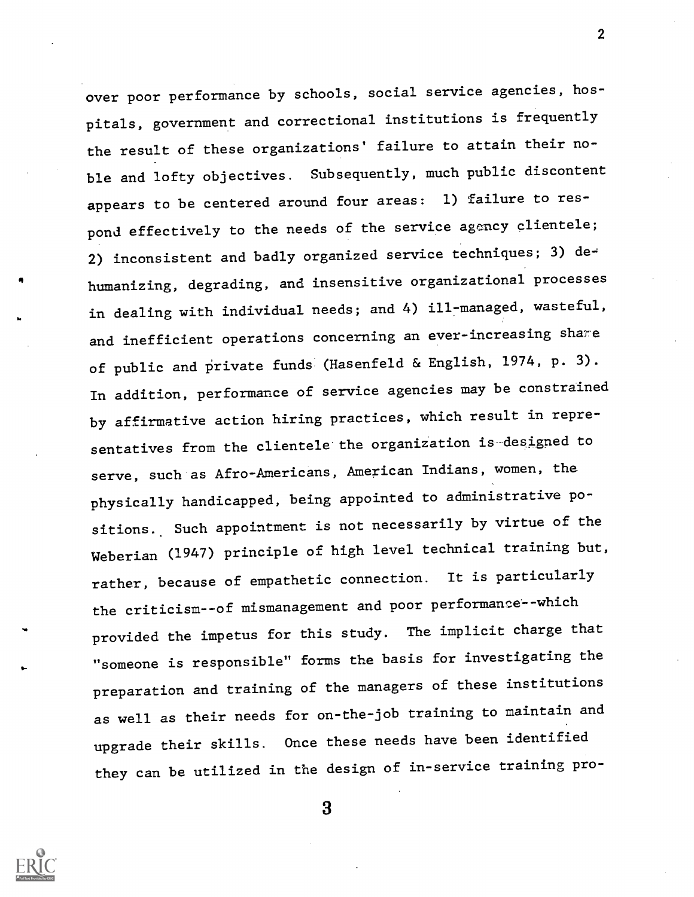over poor performance by schools, social service agencies, hospitals, government and correctional institutions is frequently the result of these organizations' failure to attain their noble and lofty objectives. Subsequently, much public discontent appears to be centered around four areas: 1) failure to respond effectively to the needs of the service agency clientele; 2) inconsistent and badly organized service techniques; 3) dehumanizing, degrading, and insensitive organizational processes in dealing with individual needs; and 4) ill-managed, wasteful, and inefficient operations concerning an ever-increasing shame of public and private funds (Hasenfeld & English, 1974, p. 3). In addition, performance of service agencies may be constrained by affirmative action hiring practices, which result in representatives from the clientele the organization is-designed to serve, such as Afro-Americans, American Indians, women, the physically handicapped, being appointed to administrative positions. Such appointment is not necessarily by virtue of the Weberian (1947) principle of high level technical training but, rather, because of empathetic connection. It is particularly the criticism--of mismanagement and poor performance--which provided the impetus for this study. The implicit charge that "someone is responsible" forms the basis for investigating the preparation and training of the managers of these institutions as well as their needs for on-the-job training to maintain and upgrade their skills. Once these needs have been identified they can be utilized in the design of in-service training pro-

3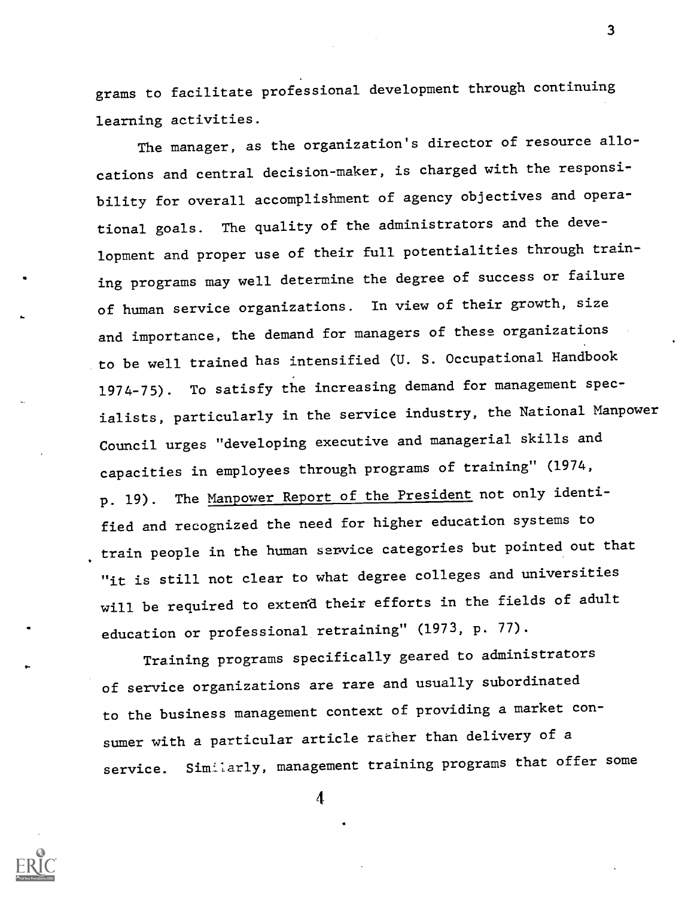grams to facilitate professional development through continuing learning activities.

The manager, as the organization's director of resource allocations and central decision-maker, is charged with the responsibility for overall accomplishment of agency objectives and operational goals. The quality of the administrators and the development and proper use of their full potentialities through training programs may well determine the degree of success or failure of human service organizations. In view of their growth, size and importance, the demand for managers of these organizations to be well trained has intensified (U. S. Occupational Handbook 1974-75). To satisfy the increasing demand for management specialists, particularly in the service industry, the National Manpower Council urges "developing executive and managerial skills and capacities in employees through programs of training" (1974, p. 19). The Manpower Report of the President not only identified and recognized the need for higher education systems to train people in the human service categories but pointed out that "it is still not clear to what degree colleges and universities will be required to extend their efforts in the fields of adult education or professional retraining" (1973, p. 77).

Training programs specifically geared to administrators of service organizations are rare and usually subordinated to the business management context of providing a market consumer with a particular article rather than delivery of a service. Similarly, management training programs that offer some

4

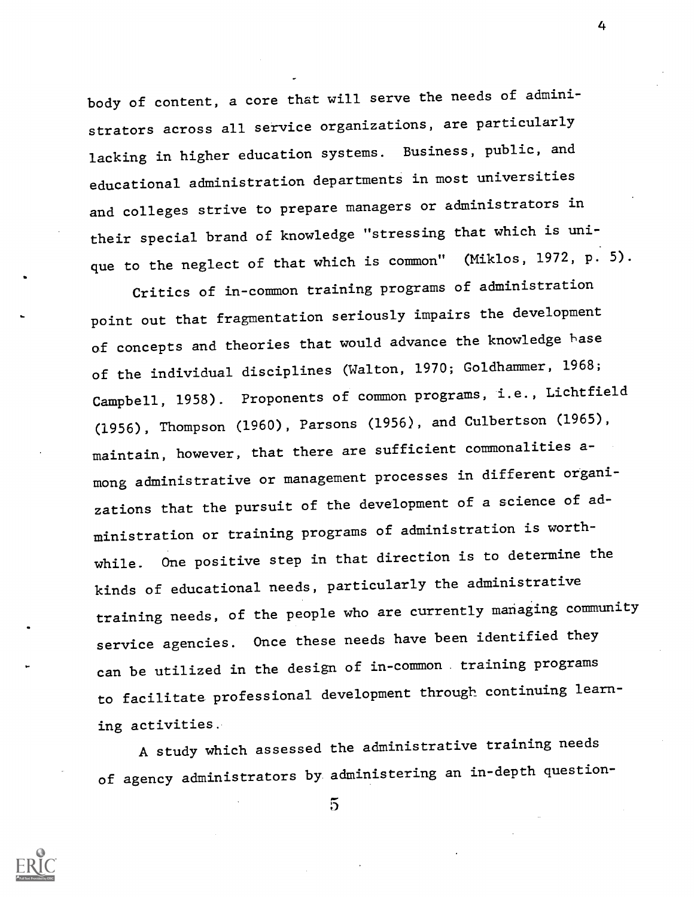body of content, a core that will serve the needs of administrators across all service organizations, are particularly lacking in higher education systems. Business, public, and educational administration departments in most universities and colleges strive to prepare managers or administrators in their special brand of knowledge "stressing that which is unique to the neglect of that which is common" (Miklos, 1972, p. 5).

Critics of in-common training programs of administration point out that fragmentation seriously impairs the development of concepts and theories that would advance the knowledge base of the individual disciplines (Walton, 1970; Goldhammer, 1968; Campbell, 1958). Proponents of common programs, i.e., Lichtfield (1956), Thompson (1960), Parsons (1956), and Culbertson (1965), maintain, however, that there are sufficient commonalities among administrative or management processes in different organizations that the pursuit of the development of a science of administration or training programs of administration is worthwhile. One positive step in that direction is to determine the kinds of educational needs, particularly the administrative training needs, of the people who are currently managing community service agencies. Once these needs have been identified they can be utilized in the design of in-common training programs to facilitate professional development through continuing learning activities.

A study which assessed the administrative training needs of agency administrators by administering an in-depth question-



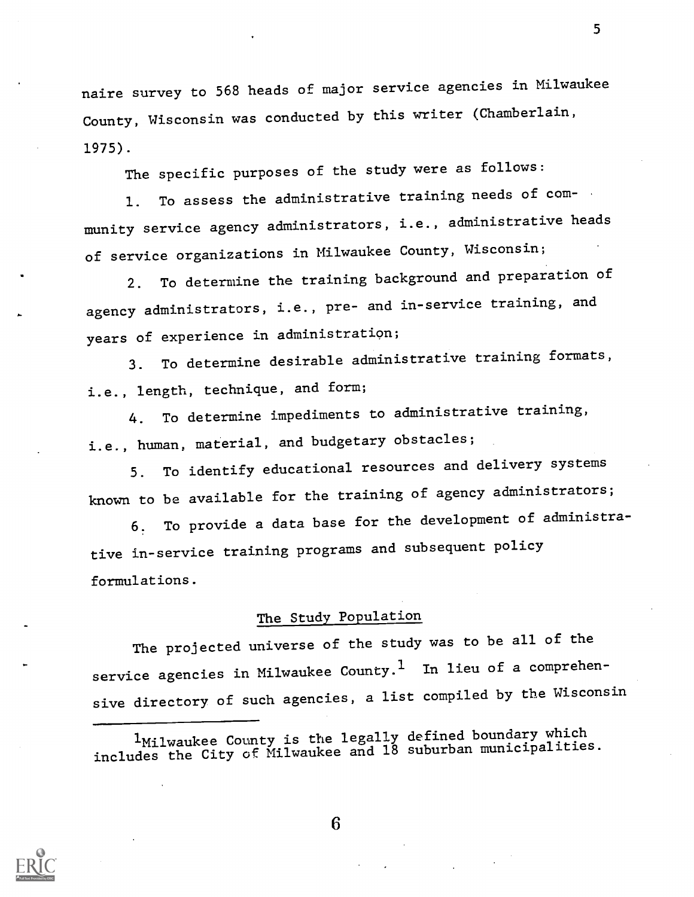naire survey to 568 heads of major service agencies in Milwaukee County, Wisconsin was conducted by this writer (Chamberlain, 1975).

The specific purposes of the study were as follows:

1. To assess the administrative training needs of community service agency administrators, i.e., administrative heads of service organizations in Milwaukee County, Wisconsin;

2. To determine the training background and preparation of agency administrators, i.e., pre- and in-service training, and years of experience in administration;

3. To determine desirable administrative training formats, i.e., length, technique, and form;

4. To determine impediments to administrative training, i.e., human, material, and budgetary obstacles;

5. To identify educational resources and delivery systems known to be available for the training of agency administrators;

6. To provide a data base for the development of administrative in-service training programs and subsequent policy formulations.

## The Study Population

The projected universe of the study was to be all of the service agencies in Milwaukee County.<sup>1</sup> In lieu of a comprehensive directory of such agencies, a list compiled by the Wisconsin

1Milwaukee County is the legally defined boundary which includes the City of Milwaukee and 18 suburban municipalities.

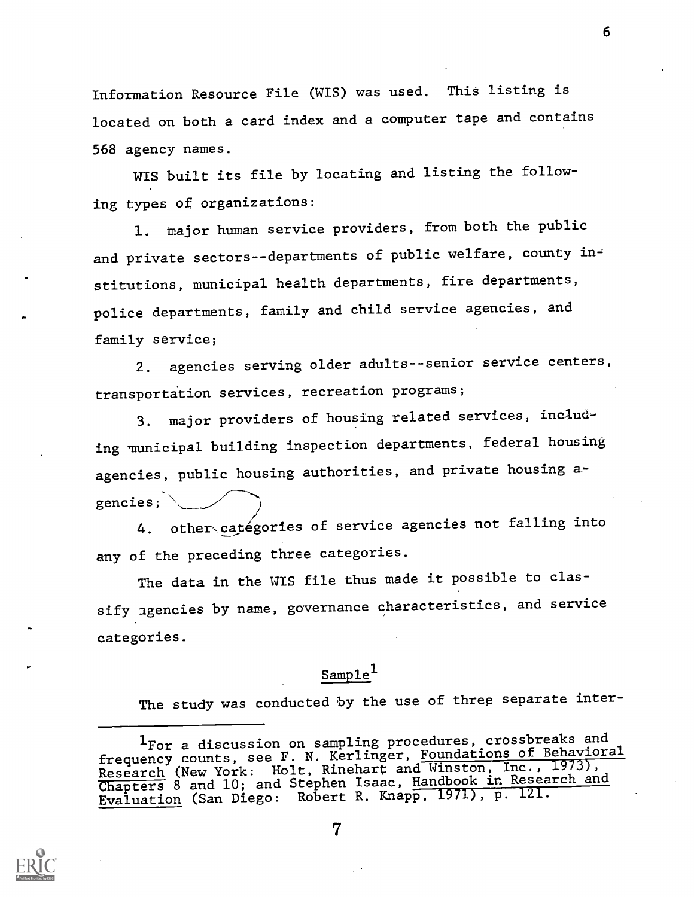Information Resource File (WIS) was used. This listing is located on both a card index and a computer tape and contains 568 agency names.

WIS built its file by locating and listing the following types of organizations:

1. major human service providers, from both the public and private sectors--departments of public welfare, county institutions, municipal health departments, fire departments, police departments, family and child service agencies, and family service;

2. agencies serving older adults--senior service centers, transportation services, recreation programs;

3. major providers of housing related services, including municipal building inspection departments, federal housing agencies, public housing authorities, and private housing agencies;

4. other categories of service agencies not falling into any of the preceding three categories.

The data in the WIS file thus made it possible to classify agencies by name, governance characteristics, and service categories.

## $Sample<sup>1</sup>$

The study was conducted by the use of three separate inter-



<sup>1</sup>For a discussion on sampling procedures, crossbreaks and frequency counts, see F. N. Kerlinger, Foundations of Behavioral ricquency counce,<br>Research (New York: Holt, Rinehart and Winston, Inc., 1973), Research (New York: 1925, 1986) Isaac, Handbook in Research and Chapters 8 and 10; and Stephen Isaac, Handbook in Research and Evaluation (San Diego: Robert R. Knapp, 1971), p. 121.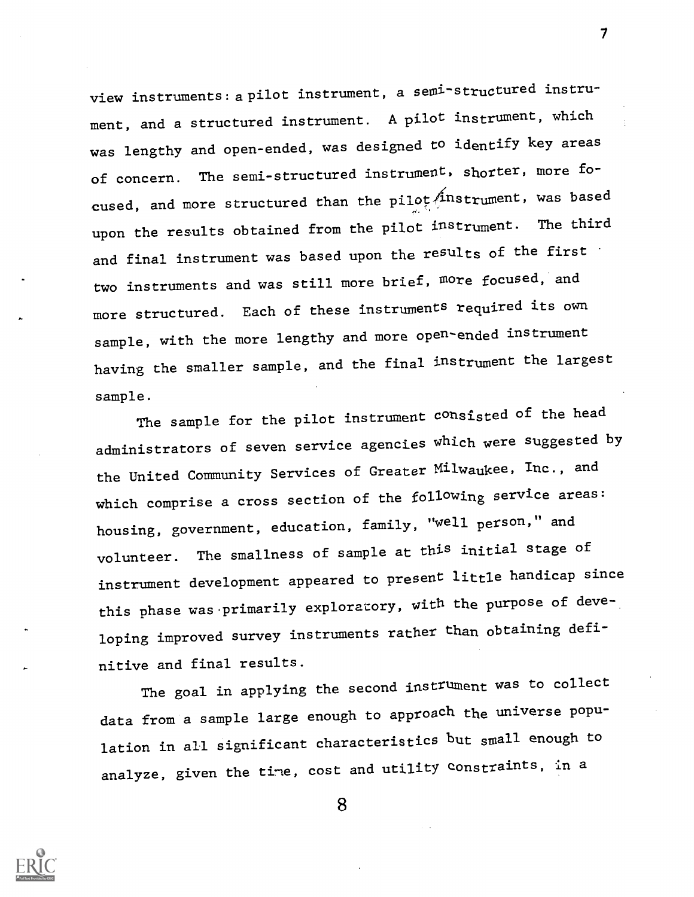view instruments:a pilot instrument, a semi-structured instrument, and a structured instrument. A pilot instrument, which was lengthy and open-ended, was designed to identify key areas of concern. The semi-structured instrument, shorter, more focused, and more structured than the pilot  $\hat{A}$ nstrument, was based upon the results obtained from the pilot instrument. The third and final instrument was based upon the results of the first two instruments and was still more brief, more focused, and more structured. Each of these instruments required its own sample, with the more lengthy and more open-ended instrument having the smaller sample, and the final instrument the largest sample.

The sample for the pilot instrument consisted of the head administrators of seven service agencies which were suggested by the United Community Services of Greater Milwaukee, Inc., and which comprise a cross section of the following service areas: housing, government, education, family, "well person," and volunteer. The smallness of sample at this initial stage of instrument development appeared to present little handicap since this phase was primarily exploratory, with the purpose of developing improved survey instruments rather than obtaining definitive and final results.

The goal in applying the second instrument was to collect data from a sample large enough to approach the universe population in all significant characteristics but small enough to analyze, given the time, cost and utility constraints, in a

8



 $\mathcal{T}$  and  $\mathcal{T}$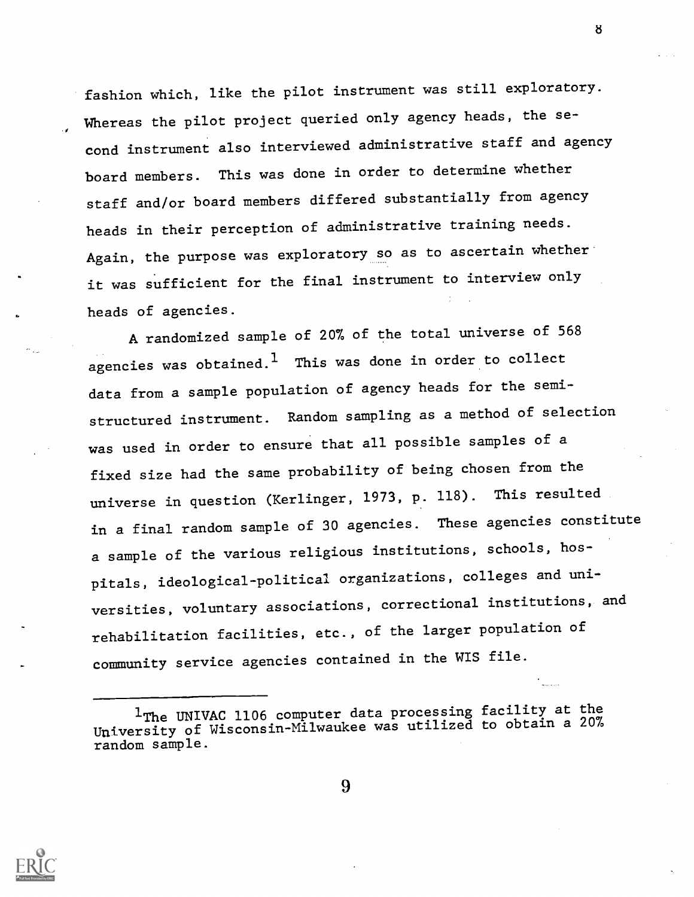fashion which, like the pilot instrument was still exploratory. Whereas the pilot project queried only agency heads, the se- , cond instrument also interviewed administrative staff and agency board members. This was done in order to determine whether staff and/or board members differed substantially from agency heads in their perception of administrative training needs. Again, the purpose was exploratory so as to ascertain whether it was sufficient for the final instrument to interview only heads of agencies.

A randomized sample of 20% of the total universe of 568 agencies was obtained.<sup>1</sup> This was done in order to collect data from a sample population of agency heads for the semistructured instrument. Random sampling as a method of selection was used in order to ensure that all possible samples of a fixed size had the same probability of being chosen from the universe in question (Kerlinger, 1973, p. 118). This resulted in a final random sample of 30 agencies. These agencies constitute a sample of the various religious institutions, schools, hospitals, ideological-political organizations, colleges and universities, voluntary associations, correctional institutions, and rehabilitation facilities, etc., of the larger population of community service agencies contained in the WIS file.



8

<sup>&</sup>lt;sup>1</sup>The UNIVAC 1106 computer data processing facility at the University of Wisconsin-Milwaukee was utilized to obtain a 20% random sample.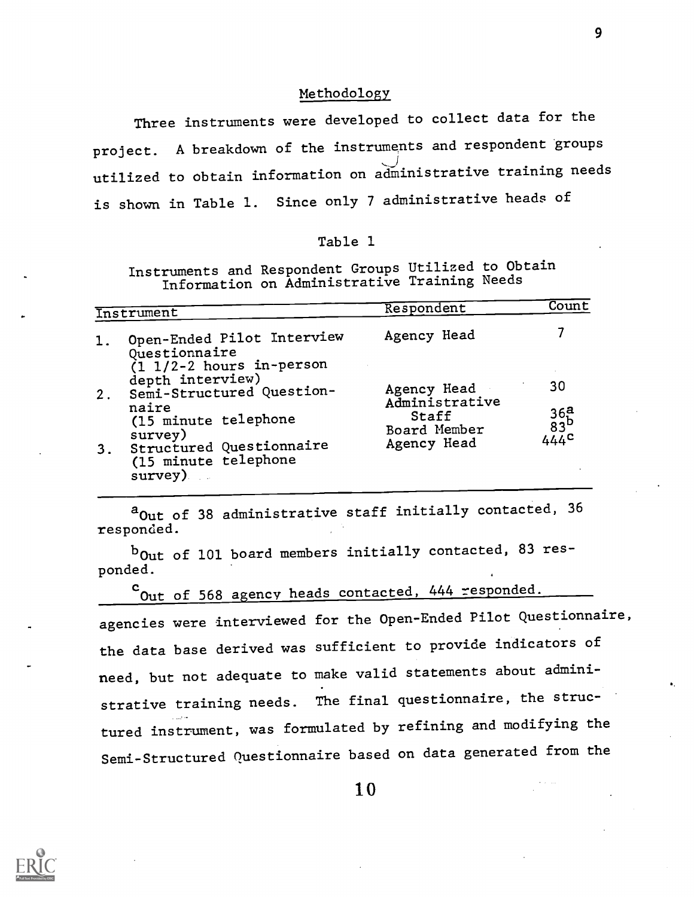#### Methodology

Three instruments were developed to collect data for the project. A breakdown of the instruments and respondent groups  $\bigcup$ ,  $\bigcup$ ,  $\bigcup$ ,  $\bigcup$ ,  $\bigcup$ ,  $\bigcup$ ,  $\bigcup$ ,  $\bigcup$ ,  $\bigcup$ ,  $\bigcup$ ,  $\bigcup$ ,  $\bigcup$ ,  $\bigcup$ ,  $\bigcup$ ,  $\bigcup$ ,  $\bigcup$ ,  $\bigcup$ ,  $\bigcup$ ,  $\bigcup$ ,  $\bigcup$ ,  $\bigcup$ ,  $\bigcup$ ,  $\bigcup$ ,  $\bigcup$ ,  $\bigcup$ ,  $\bigcup$ ,  $\bigcup$ ,  $\bigcup$ ,  $\bigcup$ ,  $\bigcup$ ,  $\bigcup$ ,  $\bigcup$ utilized to obtain information on administrative training needs is shown in Table 1. Since only 7 administrative heads of

#### Table 1

Instruments and Respondent Groups Utilized to Obtain Information on Administrative Training Needs

| Instrument |                                                                                      | Respondent                    | Count                    |
|------------|--------------------------------------------------------------------------------------|-------------------------------|--------------------------|
| 1.         | Open-Ended Pilot Interview<br>Questionnaire<br>$(1 \t1/2-2 \text{ hours in-person})$ | Agency Head                   |                          |
| 2.         | depth interview)<br>Semi-Structured Question-                                        | Agency Head<br>Administrative | 30                       |
|            | naire<br>(15 minute telephone<br>survey)                                             | Staff<br>Board Member         | $36a$<br>$83b$<br>$444c$ |
| 3.         | Structured Questionnaire<br>(15 minute telephone<br>survey)                          | Agency Head                   |                          |

a<sub>Out of</sub> 38 administrative staff initially contacted, 36 responded.

bout of 101 board members initially contacted, 83 responded.

cout of 568 agency heads contacted, 444 responded. agencies were interviewed for the Open-Ended Pilot Questionnaire, the data base derived was sufficient to provide indicators of need, but not adequate to make valid statements about administrative training needs. The final questionnaire, the struc- . tured instrument, was formulated by refining and modifying the Semi-Structured Questionnaire based on data generated from the

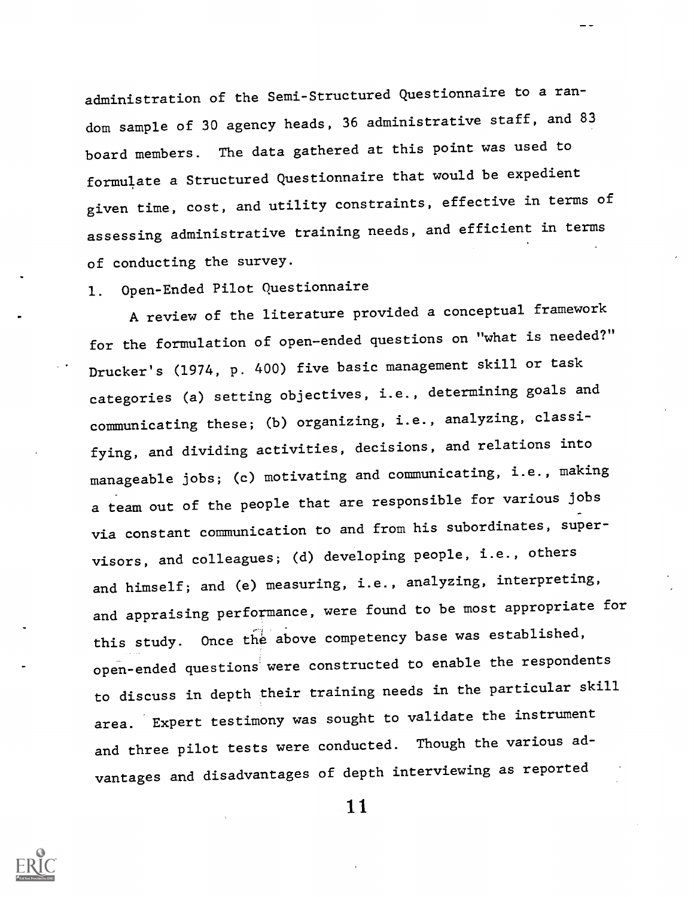administration of the Semi-Structured Questionnaire to a random sample of 30 agency heads, 36 administrative staff, and 83 board members. The data gathered at this point was used to formulate a Structured Questionnaire that would be expedient given time, cost, and utility constraints, effective in terms of assessing administrative training needs, and efficient in terms of conducting the survey.

## 1. Open-Ended Pilot Questionnaire

A review of the literature provided a conceptual framework for the formulation of open-ended questions on "what is needed?" Drucker's (1974, p. 400) five basic management skill or task categories (a) setting objectives, i.e., determining goals and communicating these; (b) organizing, i.e., analyzing, classifying, and dividing activities, decisions, and relations into manageable jobs; (c) motivating and communicating, i.e., making a team out of the people that are responsible for various jobs via constant communication to and from his subordinates, supervisors, and colleagues; (d) developing people, i.e., others and himself; and (e) measuring, i.e., analyzing, interpreting, and appraising performance, were found to be most appropriate for this study. Once the above competency base was established, open-ended questions were constructed to enable the respondents to discuss in depth their training needs in the particular skill area. Expert testimony was sought to validate the instrument and three pilot tests were conducted. Though the various advantages and disadvantages of depth interviewing as reported

11.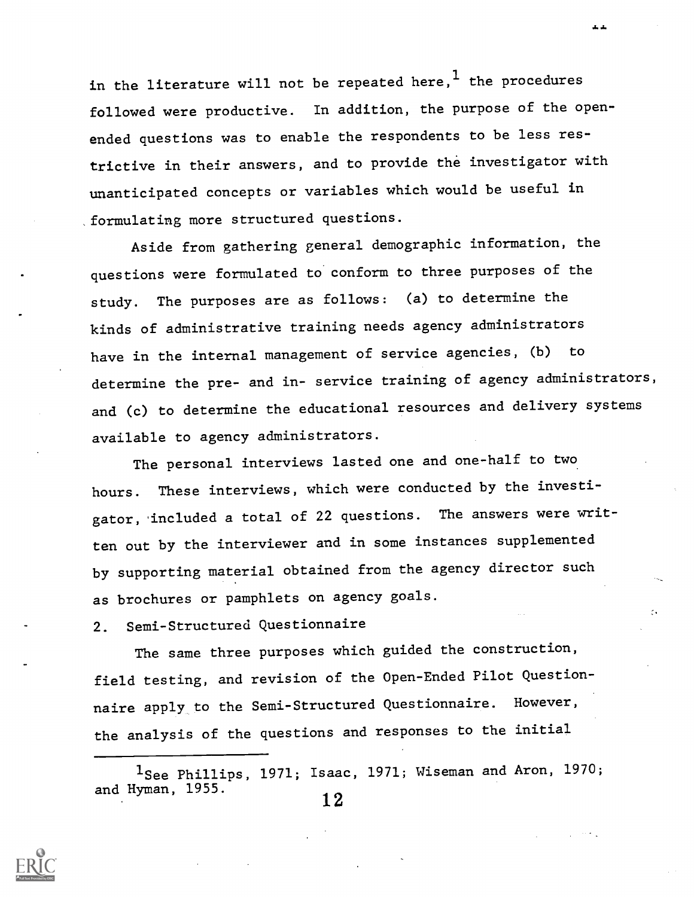in the literature will not be repeated here,<sup>1</sup> the procedures followed were productive. In addition, the purpose of the openended questions was to enable the respondents to be less restrictive in their answers, and to provide the investigator with unanticipated concepts or variables which would be useful in formulating more structured questions.

Aside from gathering general demographic information, the questions were formulated to conform to three purposes of the study. The purposes are as follows: (a) to determine the kinds of administrative training needs agency administrators have in the internal management of service agencies, (b) to determine the pre- and in- service training of agency administrators, and (c) to determine the educational resources and delivery systems available to agency administrators.

The personal interviews lasted one and one-half to two hours. These interviews, which were conducted by the investigator, 'included a total of 22 questions. The answers were written out by the interviewer and in some instances supplemented by supporting material obtained from the agency director such as brochures or pamphlets on agency goals.

2. Semi-Structured Questionnaire

The same three purposes which guided the construction, field testing, and revision of the Open-Ended Pilot Questionnaire apply, to the Semi-Structured Questionnaire. However, the analysis of the questions and responses to the initial

1See Phillips, 1971; Isaac, 1971; Wiseman and Aron, 1970; and Hyman,  $1955.$  12



a. J.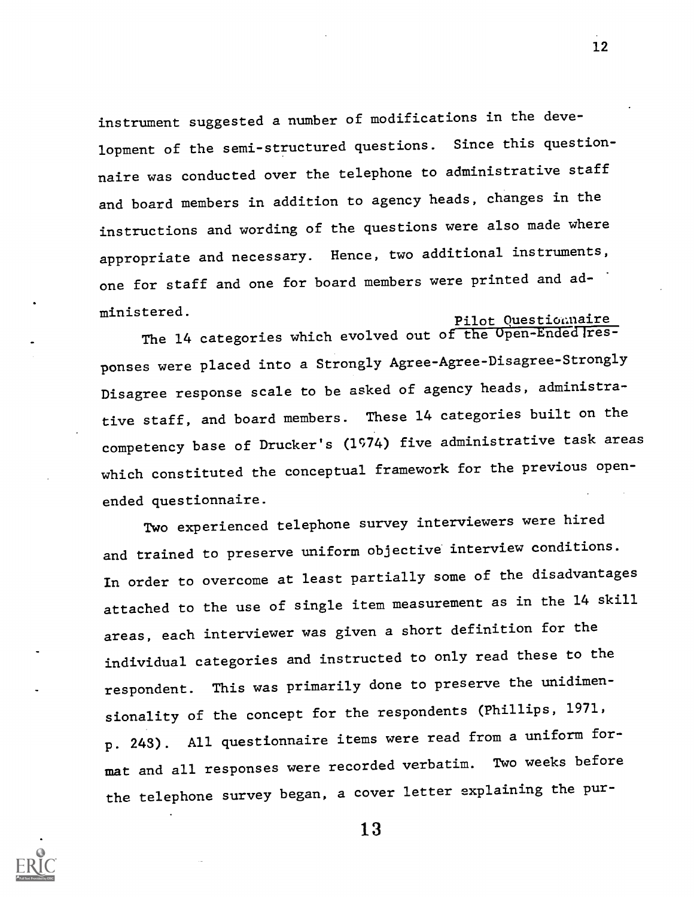instrument suggested a number of modifications in the development of the semi-structured questions. Since this questionnaire was conducted over the telephone to administrative staff and board members in addition to agency heads, changes in the instructions and wording of the questions were also made where appropriate and necessary. Hence, two additional instruments, one for staff and one for board members were printed and administered. The contract of the property of the property  $\frac{p_{\text{ilot}}}{}$  Question aire

The 14 categories which evolved out of the Open-EndedTresponses were placed into a Strongly Agree-Agree-Disagree-Strongly Disagree response scale to be asked of agency heads, administrative staff, and board members. These 14 categories built on the competency base of Drucker's (1974) five administrative task areas which constituted the conceptual framework for the previous openended questionnaire.

Two experienced telephone survey interviewers were hired and trained to preserve uniform objective interview conditions. In order to overcome at least partially some of the disadvantages attached to the use of single item measurement as in the 14 skill areas, each interviewer was given a short definition for the individual categories and instructed to only read these to the respondent. This was primarily done to preserve the unidimensionality of the concept for the respondents (Phillips, 1971, p. 243). All questionnaire items were read from a uniform format and all responses were recorded verbatim. Two weeks before the telephone survey began, a cover letter explaining the pur-

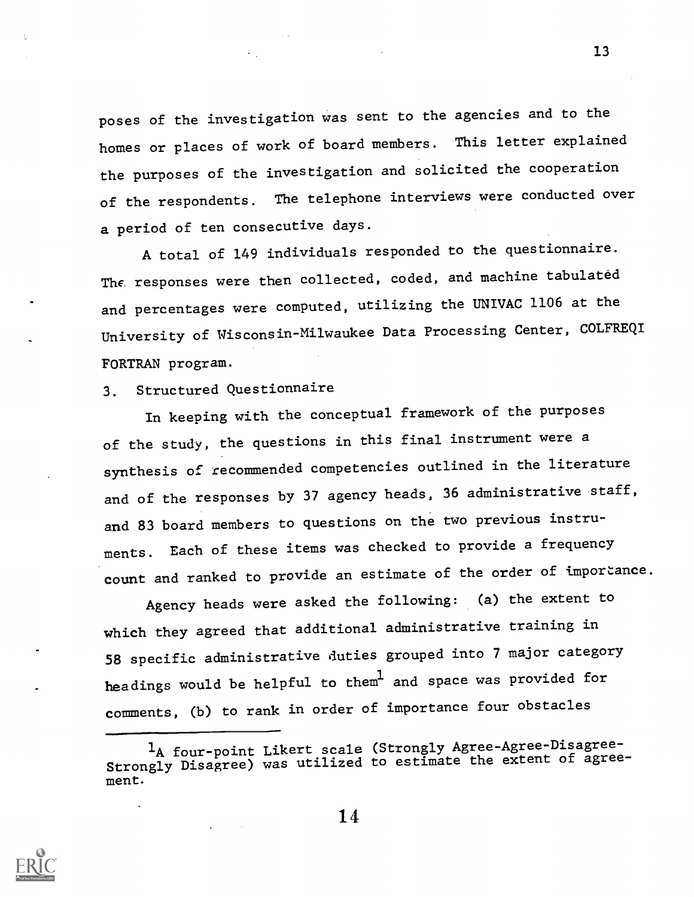poses of the investigation was sent to the agencies and to the homes or places of work of board members. This letter explained the purposes of the investigation and solicited the cooperation of the respondents. The telephone interviews were conducted over a period of ten consecutive days.

A total of 149 individuals responded to the questionnaire. The responses were then collected, coded, and machine tabulated and percentages were computed, utilizing the UNIVAC 1106 at the University of Wisconsin-Milwaukee Data Processing Center, COLFREQI FORTRAN program.

## 3. Structured Questionnaire

In keeping with the conceptual framework of the purposes of the study, the questions in this final instrument were a synthesis of recommended competencies outlined in the literature and of the responses by 37 agency heads, 36 administrative staff, and 83 board members to questions on the two previous instruments. Each of these items was checked to provide a frequency count and ranked to provide an estimate of the order of importance.

Agency heads were asked the following: (a) the extent to which they agreed that additional administrative training in 58 specific administrative duties grouped into 7 major category headings would be helpful to them<sup>l</sup> and space was provided for comments, (b) to rank in order of importance four obstacles



<sup>&</sup>lt;sup>1</sup>A four-point Likert scale (Strongly Agree-Agree-Disagree-Strongly Disagree) was utilized to estimate the extent of agreement.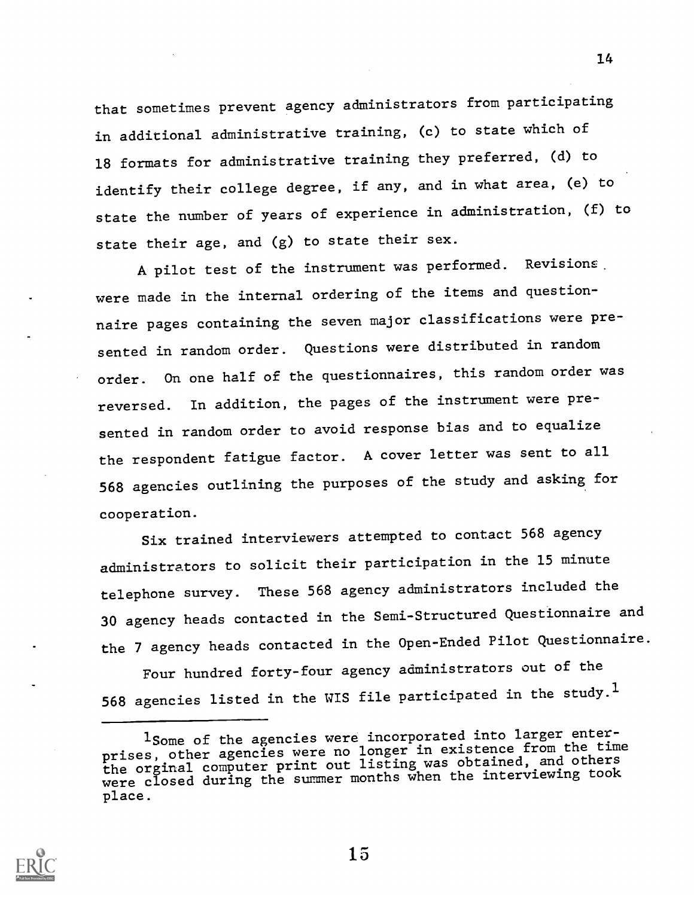that sometimes prevent agency administrators from participating in additional administrative training, (c) to state which of 18 formats for administrative training they preferred, (d) to identify their college degree, if any, and in what area, (e) to state the number of years of experience in administration, (f) to state their age, and (g) to state their sex.

A pilot test of the instrument was performed. Revisions. were made in the internal ordering of the items and questionnaire pages containing the seven major classifications were presented in random order. Questions were distributed in random order. On one half of the questionnaires, this random order was reversed. In addition, the pages of the instrument were presented in random order to avoid response bias and to equalize the respondent fatigue factor. A cover letter was sent to all 568 agencies outlining the purposes of the study and asking for cooperation.

Six trained interviewers attempted to contact 568 agency administrators to solicit their participation in the 15 minute telephone survey. These 568 agency administrators included the 30 agency heads contacted in the Semi-Structured Questionnaire and the 7 agency heads contacted in the Open-Ended Pilot Questionnaire.

Four hundred forty-four agency administrators out of the 568 agencies listed in the WIS file participated in the study.<sup>1</sup>



15

<sup>1</sup>Some of the agencies were incorporated into larger enterprises, other agencies were no longer in existence from the time prises, other agencies were in ling was obtained, and others<br>the orginal computer print out listing was the interviewing took were closed during the summer months when the interviewing took place.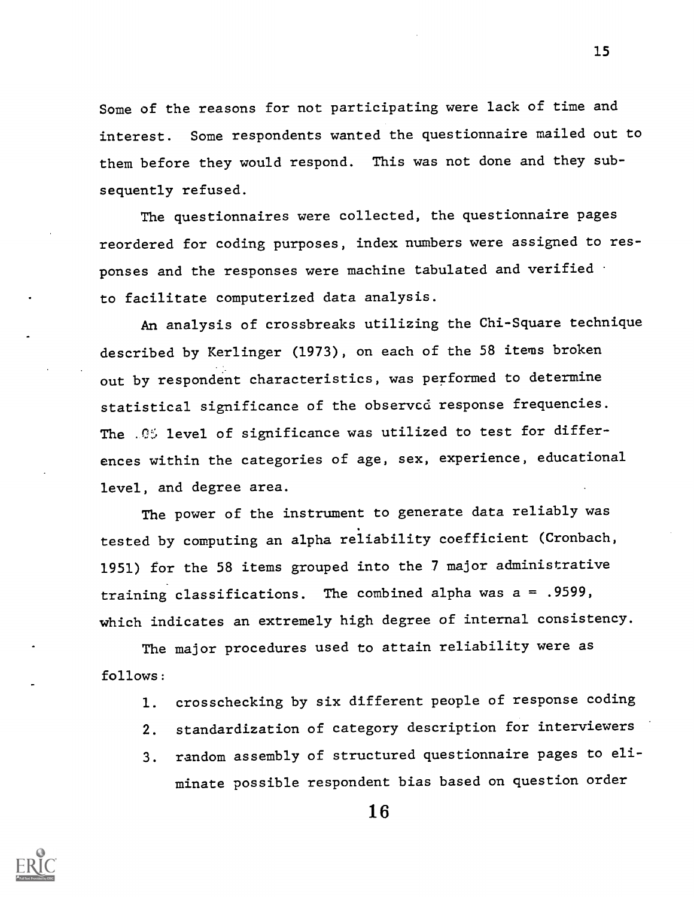Some of the reasons for not participating were lack of time and interest. Some respondents wanted the questionnaire mailed out to them before they would respond. This was not done and they subsequently refused.

The questionnaires were collected, the questionnaire pages reordered for coding purposes, index numbers were assigned to responses and the responses were machine tabulated and verified to facilitate computerized data analysis.

An analysis of crossbreaks utilizing the Chi-Square technique described by Kerlinger (1973), on each of the 58 items broken out by respondent characteristics, was performed to determine statistical significance of the observed response frequencies. The  $.05$  level of significance was utilized to test for differences within the categories of age, sex, experience, educational level, and degree area.

The power of the instrument to generate data reliably was tested by computing an alpha reliability coefficient (Cronbach, 1951) for the 58 items grouped into the 7 major administrative training classifications. The combined alpha was a = .9599, which indicates an extremely high degree of internal consistency.

The major procedures used to attain reliability were as follows:

- 1. crosschecking by six different people of response coding
- 2. standardization of category description for interviewers
- 3. random assembly of structured questionnaire pages to eliminate possible respondent bias based on question order



16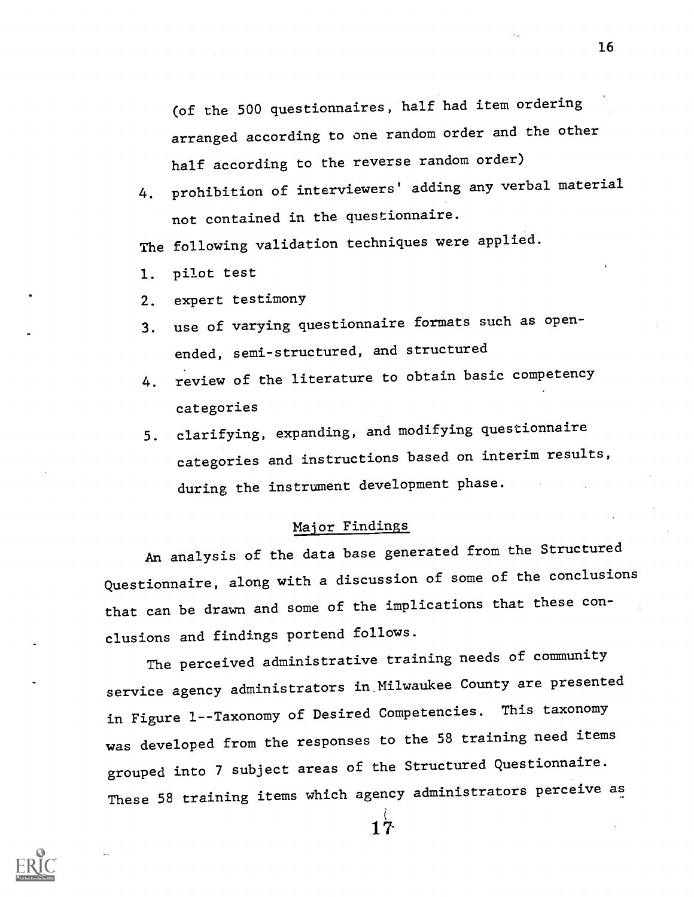(of the 500 questionnaires, half had item ordering arranged according to one random order and the other half according to the reverse random order)

4. prohibition of interviewers' adding any verbal material not contained in the questionnaire.

The following validation techniques were applied.

- 1. pilot test
- 2. expert testimony
- 3. use of varying questionnaire formats such as openended, semi-structured, and structured
- 4. review of the literature to obtain basic competency categories
- 5. clarifying, expanding, and modifying questionnaire categories and instructions based on interim results, during the instrument development phase.

#### Major Findings

An analysis of the data base generated from the Structured Questionnaire, along with a discussion of some of the conclusions that can be drawn and some of the implications that these conclusions and findings portend follows.

The perceived administrative training needs of community service agency administrators in Milwaukee County are presented in Figure 1--Taxonomy of Desired Competencies. This taxonomy was developed from the responses to the 58 training need items grouped into 7 subject areas of the Structured Questionnaire. These 58 training items which agency administrators perceive as

16



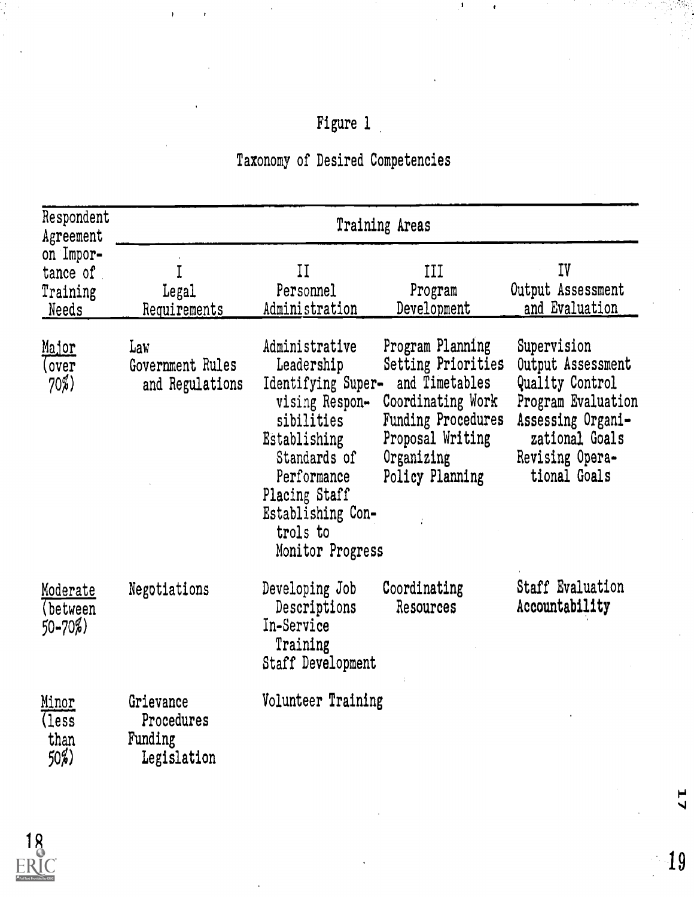# Figure 1

 $\pmb{\mathsf{I}}$ 

# Taxonomy of Desired Competencies

| Respondent<br>Agreement                    | Training Areas                                    |                                                                                                                                                                                                         |                                                                                                                                                                 |                                                                                                                                                     |  |
|--------------------------------------------|---------------------------------------------------|---------------------------------------------------------------------------------------------------------------------------------------------------------------------------------------------------------|-----------------------------------------------------------------------------------------------------------------------------------------------------------------|-----------------------------------------------------------------------------------------------------------------------------------------------------|--|
| on Impor-<br>tance of<br>Training<br>Needs | Legal<br>Requirements                             | II<br>Personnel<br>Administration                                                                                                                                                                       | III<br>Program<br>Development                                                                                                                                   | IV<br>Output Assessment<br>and Evaluation                                                                                                           |  |
| Major<br>(over<br>70%)                     | Law<br>Government Rules<br>and Regulations        | Administrative<br>Leadership<br>Identifying Super-<br>vising Respon-<br>sibilities<br>Establishing<br>Standards of<br>Performance<br>Placing Staff<br>Establishing Con-<br>trols to<br>Monitor Progress | Program Planning<br>Setting Priorities<br>and Timetables<br>Coordinating Work<br><b>Funding Procedures</b><br>Proposal Writing<br>Organizing<br>Policy Planning | Supervision<br>Output Assessment<br>Quality Control<br>Program Evaluation<br>Assessing Organi-<br>zational Goals<br>Revising Opera-<br>tional Goals |  |
| Moderate<br>(between<br>$50 - 70\%)$       | Negotiations                                      | Developing Job<br>Descriptions<br>In-Service<br>Training<br>Staff Development                                                                                                                           | Coordinating<br>Resources                                                                                                                                       | Staff Evaluation<br>Accountability                                                                                                                  |  |
| Minor<br>(less<br>than<br>$50\%)$          | Grievance<br>Procedures<br>Funding<br>Legislation | Volunteer Training                                                                                                                                                                                      |                                                                                                                                                                 |                                                                                                                                                     |  |



 $\mathbf{z}$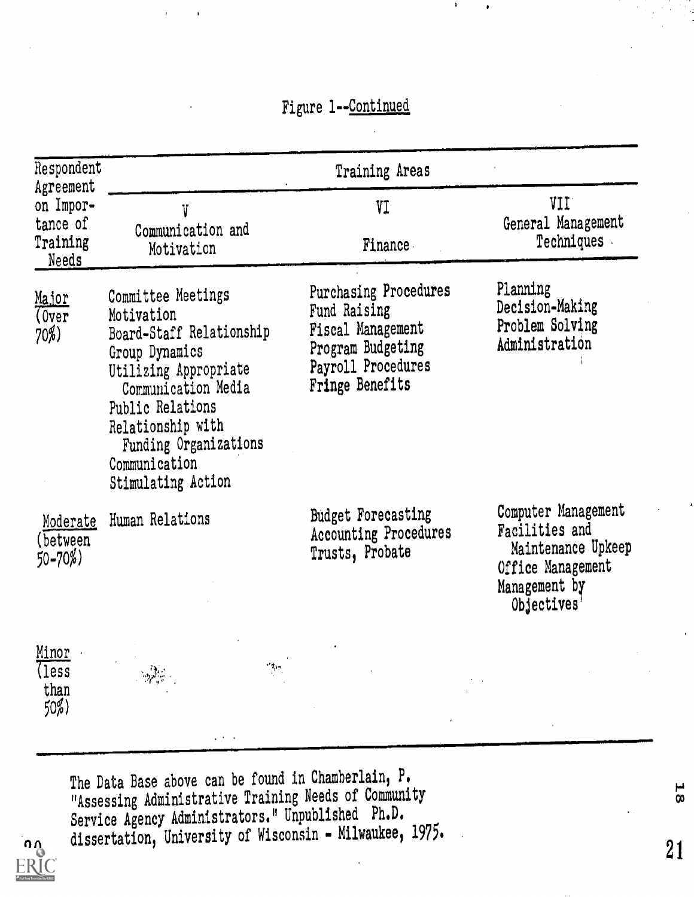## Figure 1--Continue4

| Respondent<br>Agreement               | Training Areas                                                                                                                                                                                                                          |                                                                                                                                 |                                                                                                                  |  |  |
|---------------------------------------|-----------------------------------------------------------------------------------------------------------------------------------------------------------------------------------------------------------------------------------------|---------------------------------------------------------------------------------------------------------------------------------|------------------------------------------------------------------------------------------------------------------|--|--|
| on Impor-<br>tance of                 | V                                                                                                                                                                                                                                       | VI                                                                                                                              | VII.<br>General Management                                                                                       |  |  |
| Training<br><b>Needs</b>              | Communication and<br>Motivation                                                                                                                                                                                                         | Finance                                                                                                                         | Techniques                                                                                                       |  |  |
| <u>Major</u><br>(0ver)<br>$70\%)$     | Committee Meetings<br>Motivation<br>Board-Staff Relationship<br>Group Dynamics<br>Utilizing Appropriate<br>Communication Media<br>Public Relations<br>Relationship with<br>Funding Organizations<br>Communication<br>Stimulating Action | <b>Purchasing Procedures</b><br>Fund Raising<br>Fiscal Management<br>Program Budgeting<br>Payroll Procedures<br>Fringe Benefits | Planning<br>Decision-Making<br>Problem Solving<br>Administration                                                 |  |  |
| Moderate<br>(between)<br>$50 - 70\%)$ | Human Relations                                                                                                                                                                                                                         | <b>Budget Forecasting</b><br>Accounting Procedures<br>Trusts, Probate                                                           | Computer Management<br>Facilities and<br>Maintenance Upkeep<br>Office Management<br>Management by<br>Objectives' |  |  |
| Minor<br>(less<br>than $50\%$         | $\cdot$ $\uparrow$ .                                                                                                                                                                                                                    |                                                                                                                                 |                                                                                                                  |  |  |

The Data Base above can be found in Chamberlain, P. "Assessing Administrative Training Needs of Community Service Agency Administrators." Unpublished Ph.D.  $\Omega_{\Omega}$  dissertation, University of Wisconsin - Milwaukee, 1975.

011.1.1.1.NIMMIP=1=411.1.NIMMIP=1=4111.1.NIMMIP=1=4111.1.NIMMIP=1=41111.1.NIMMIP=1=4111.1.NIMMIP=1=4111.1.NIMMIP=1

**L**8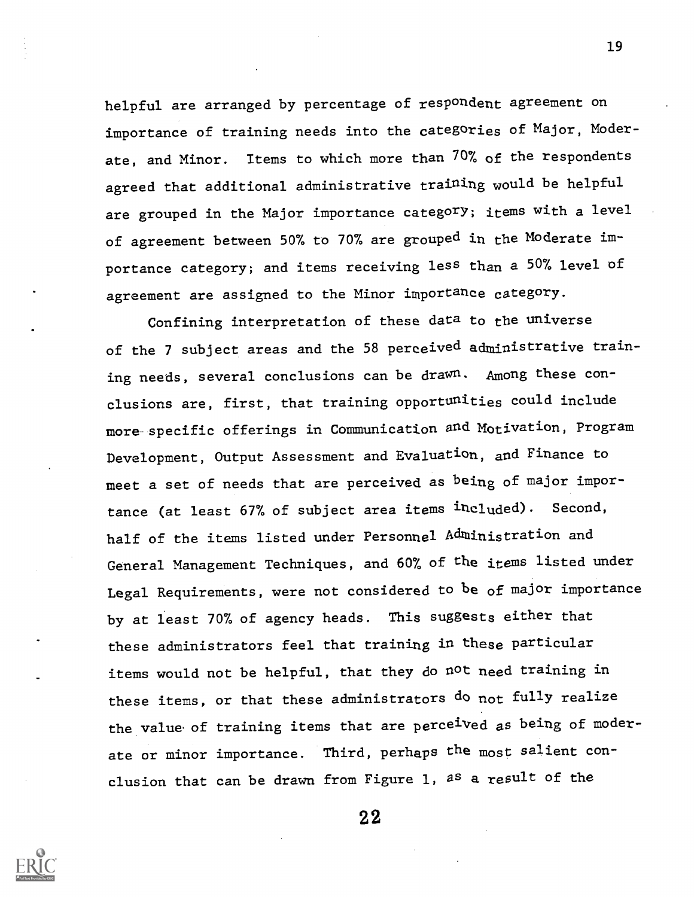helpful are arranged by percentage of respondent agreement on importance of training needs into the categories of Major, Moderate, and Minor. Items to which more than 70% of the respondents agreed that additional administrative training would be helpful are grouped in the Major importance category; items with a level of agreement between 50% to 70% are grouped in the Moderate importance category; and items receiving less than a 50% level of agreement are assigned to the Minor importance category.

Confining interpretation of these data to the universe of the 7 subject areas and the 58 perceived administrative training needs, several conclusions can be drawn. Among these conclusions are, first, that training opportunities could include more specific offerings in Communication and Motivation, Program Development, Output Assessment and Evaluation, and Finance to meet a set of needs that are perceived as being of major importance (at least 67% of subject area items included). Second, half of the items listed under Personnel Administration and General Management Techniques, and 60% of the items listed under Legal Requirements, were not considered to be of major importance by at least 70% of agency heads. This suggests either that these administrators feel that training in these particular items would not be helpful, that they do not need training in these items, or that these administrators do not fully realize the value of training items that are perceived as being of moderate or minor importance. Third, perhaps the most salient conclusion that can be drawn from Figure 1, as a result of the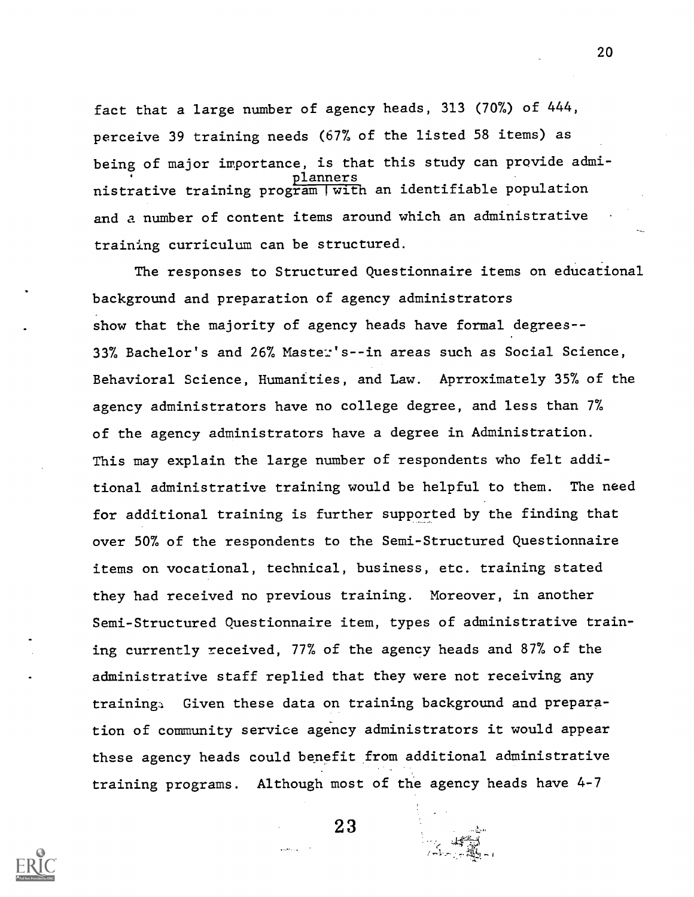fact that a large number of agency heads, 313 (70%) of 444, perceive 39 training needs (67% of the listed 58 items) as being of major importance, is that this study can provide admiplanners nistrative training program I with an identifiable population and a number of content items around which an administrative training curriculum can be structured.

The responses to Structured Questionnaire items on educational background and preparation of agency administrators show that the majority of agency heads have formal degrees-- 33% Bachelor's and 26% Master's--in areas such as Social Science, Behavioral Science, Humanities, and Law. Aprroximately 35% of the agency administrators have no college degree, and less than 7% of the agency administrators have a degree in Administration. This may explain the large number of respondents who felt additional administrative training would be helpful to them. The need for additional training is further supported by the finding that over 50% of the respondents to the Semi-Structured Questionnaire items on vocational, technical, business, etc. training stated they had received no previous training. Moreover, in another Semi-Structured Questionnaire item, types of administrative training currently received, 77% of the agency heads and 87% of the administrative staff replied that they were not receiving any training4 Given these data on training background and preparation of community service agency administrators it would appear these agency heads could benefit from additional administrative training programs. Although most of the agency heads have 4-7

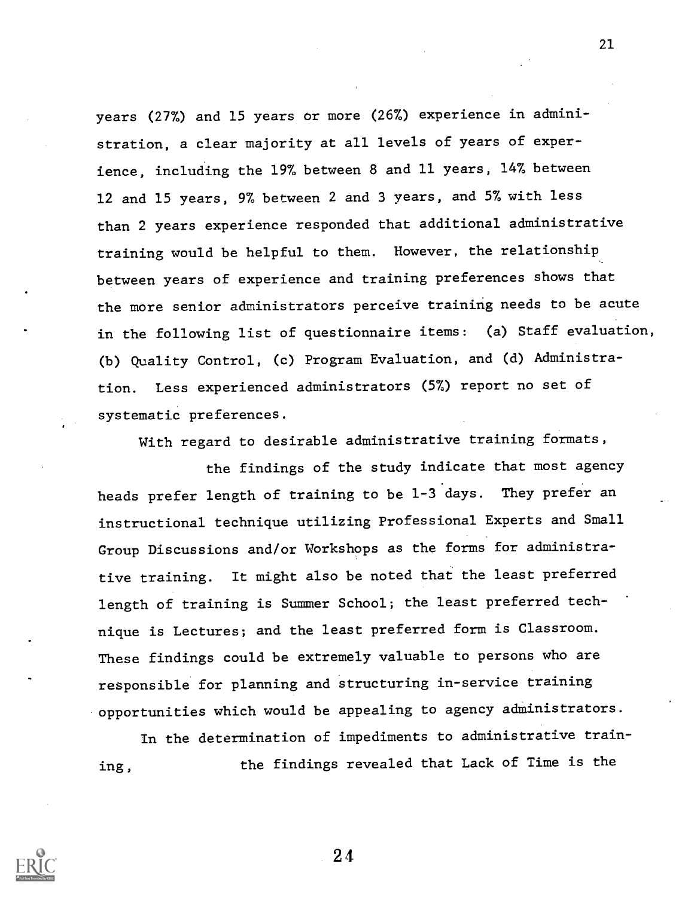years (277) and 15 years or more (26%) experience in administration, a clear majority at all levels of years of experience, including the 197 between 8 and 11 years, 14% between 12 and 15 years, 97 between 2 and 3 years, and 57 with less than 2 years experience responded that additional administrative training would be helpful to them. However, the relationship between years of experience and training preferences shows that the more senior administrators perceive training needs to be acute in the following list of questionnaire items: (a) Staff evaluation, (b) Quality Control, (c) Program Evaluation, and (d) Administration. Less experienced administrators (5%) report no set of systematic preferences.

With regard to desirable administrative training formats,

the findings of the study indicate that most agency heads prefer length of training to be 1-3 days. They prefer an instructional technique utilizing Professional Experts and Small Group Discussions and/or Workshops as the forms for administrative training. It might also be noted that the least preferred length of training is Summer School; the least preferred technique is Lectures; and the least preferred form is Classroom. These findings could be extremely valuable to persons who are responsible for planning and structuring in-service training opportunities which would be appealing to agency administrators.

In the determination of impediments to administrative training, the findings revealed that Lack of Time is the



2 4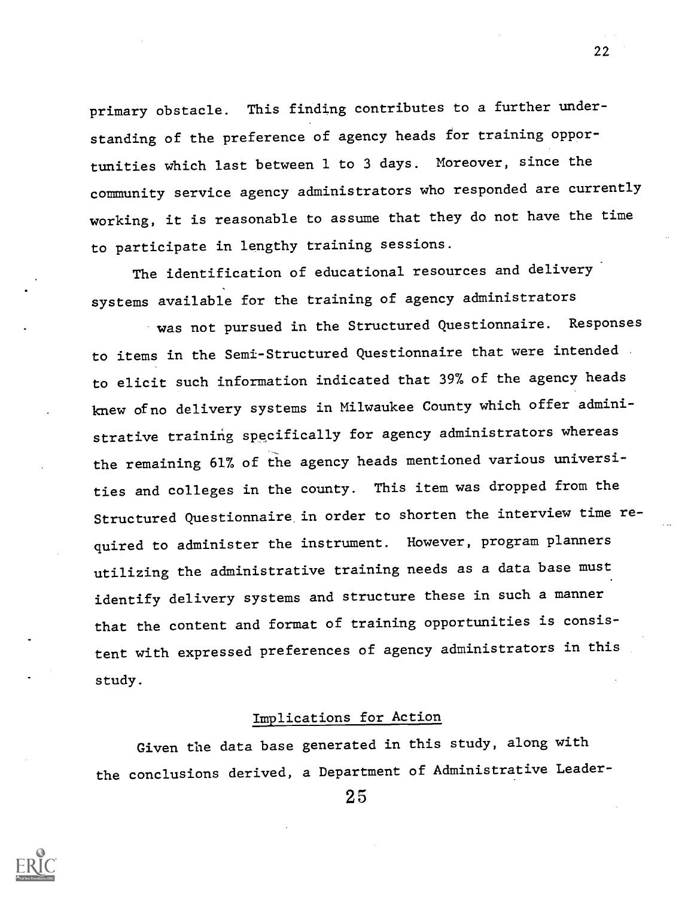primary obstacle. This finding contributes to a further understanding of the preference of agency heads for training opportunities which last between 1 to 3 days. Moreover, since the community service agency administrators who responded are currently working, it is reasonable to assume that they do not have the time to participate in lengthy training sessions.

The identification of educational resources and delivery systems available for the training of agency administrators

was not pursued in the Structured Questionnaire. Responses to items in the Semi-Structured Questionnaire that were intended to elicit such information indicated that 39% of the agency heads knew of no delivery systems in Milwaukee County which offer administrative training specifically for agency administrators whereas the remaining 61% of the agency heads mentioned various universities and colleges in the county. This item was dropped from the Structured Questionnaire in order to shorten the interview time required to administer the instrument. However, program planners utilizing the administrative training needs as a data base must identify delivery systems and structure these in such a manner that the content and format of training opportunities is consistent with expressed preferences of agency administrators in this study.

## Implications for Action

Given the data base generated in this study, along with the conclusions derived, a Department of Administrative Leader-

2 5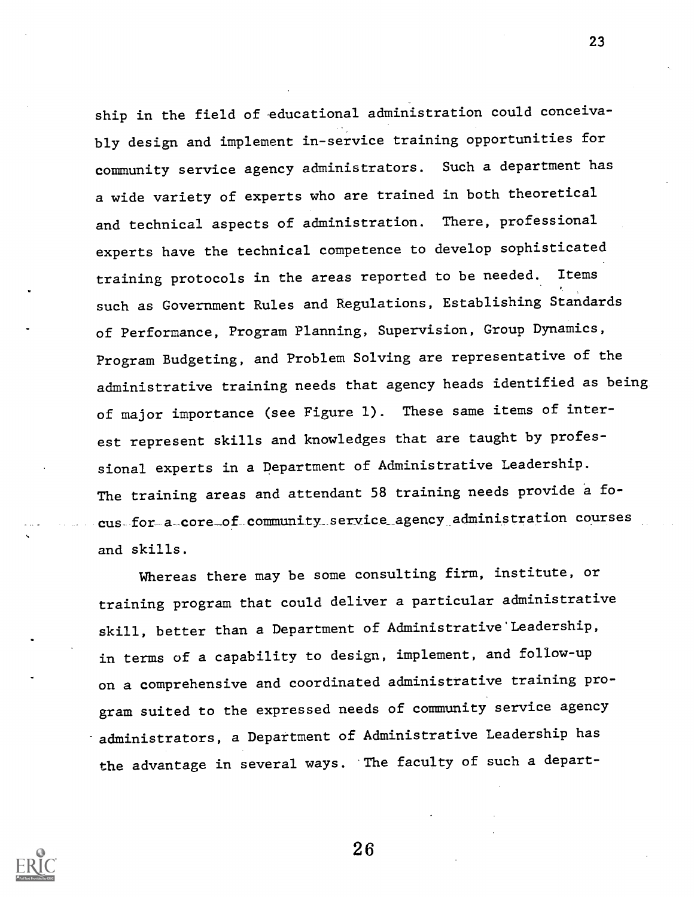ship in the field of educational administration could conceivably design and implement in-service training opportunities for community service agency administrators. Such a department has a wide variety of experts who are trained in both theoretical and technical aspects of administration. There, professional experts have the technical competence to develop sophisticated training protocols in the areas reported to be needed. Items such as Government Rules and Regulations, Establishing Standards of Performance, Program Planning, Supervision, Group Dynamics, Program Budgeting, and Problem Solving are representative of the administrative training needs that agency heads identified as being of major importance (see Figure 1). These same items of interest represent skills and knowledges that are taught by professional experts in a Department of Administrative Leadership. The training areas and attendant 58 training needs provide a focus for a\_core\_of community\_service\_agency administration courses and skills.

23

Whereas there may be some consulting firm, institute, or training program that could deliver a particular administrative skill, better than a Department of Administrative'Leadership, in terms of a capability to design, implement, and follow-up on a comprehensive and coordinated administrative training program suited to the expressed needs of community service agency administrators, a Department of Administrative Leadership has the advantage in several ways. The faculty of such a depart-

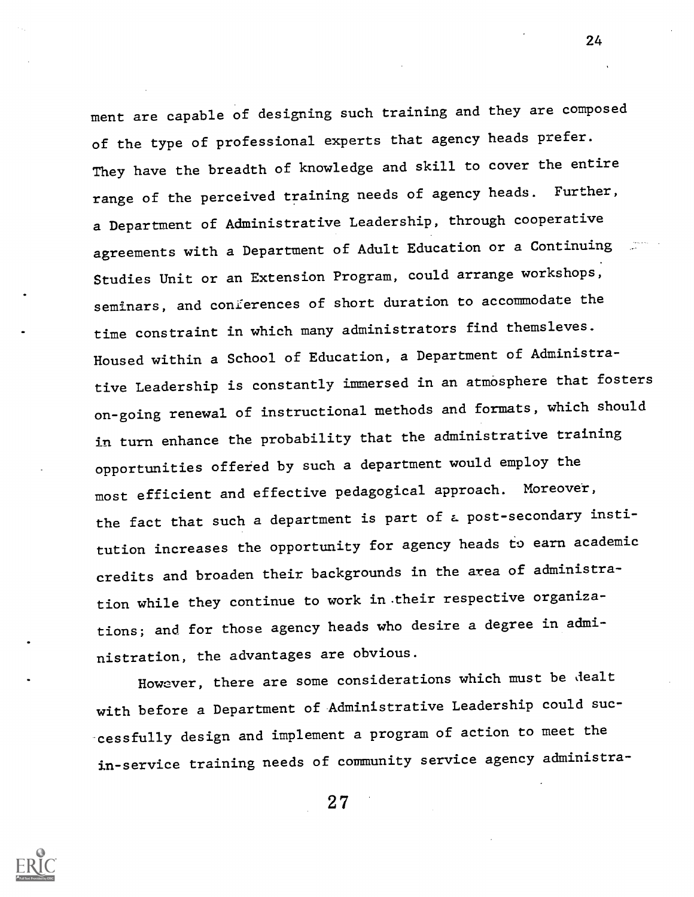ment are capable of designing such training and they are composed of the type of professional experts that agency heads prefer. They have the breadth of knowledge and skill to cover the entire range of the perceived training needs of agency heads. Further, a Department of Administrative Leadership, through cooperative agreements with a Department of Adult Education or a Continuing Studies Unit or an Extension Program, could arrange workshops, seminars, and conferences of short duration to accommodate the time constraint in which many administrators find themsleves. Housed within a School of Education, a Department of Administrative Leadership is constantly immersed in an atmosphere that fosters on-going renewal of instructional methods and formats, which should in turn enhance the probability that the administrative training opportunities offered by such a department would employ the most efficient and effective pedagogical approach. Moreover, the fact that such a department is part of a post-secondary institution increases the opportunity for agency heads to earn academic credits and broaden their backgrounds in the area of administration while they continue to work in-their respective organizations; and for those agency heads who desire a degree in administration, the advantages are obvious.

However, there are some considerations which must be dealt with before a Department of Administrative Leadership could successfully design and implement a program of action to meet the in-service training needs of community service agency administra-

2 7

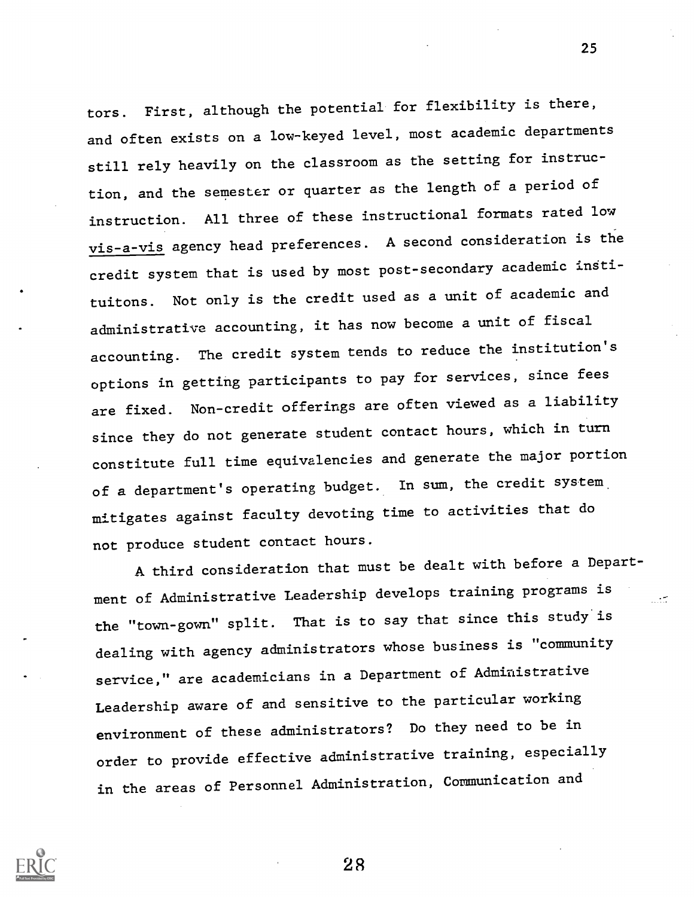tors. First, although the potential for flexibility is there, and often exists on a low-keyed level, most academic departments still rely heavily on the classroom as the setting for instruction, and the semester or quarter as the length of a period of instruction. All three of these instructional formats rated low vis-a-vis agency head preferences. A second consideration is the credit system that is used by most post-secondary academic instituitons. Not only is the credit used as a unit of academic and administrative accounting, it has now become a unit of fiscal accounting. The credit system tends to reduce the institution's options in getting participants to pay for services, since fees are fixed. Non-credit offerings are often viewed as a liability since they do not generate student contact hours, which in turn constitute full time equivalencies and generate the major portion of a department's operating budget. In sum, the credit system mitigates against faculty devoting time to activities that do not produce student contact hours.

A third consideration that must be dealt with before a Department of Administrative Leadership develops training programs is the "town-gown" split. That is to say that since this study is dealing with agency administrators whose business is "community service," are academicians in a Department of Administrative Leadership aware of and sensitive to the particular working environment of these administrators? Do they need to be in order to provide effective administrative training, especially in the areas of Personnel Administration, Communication and



2 8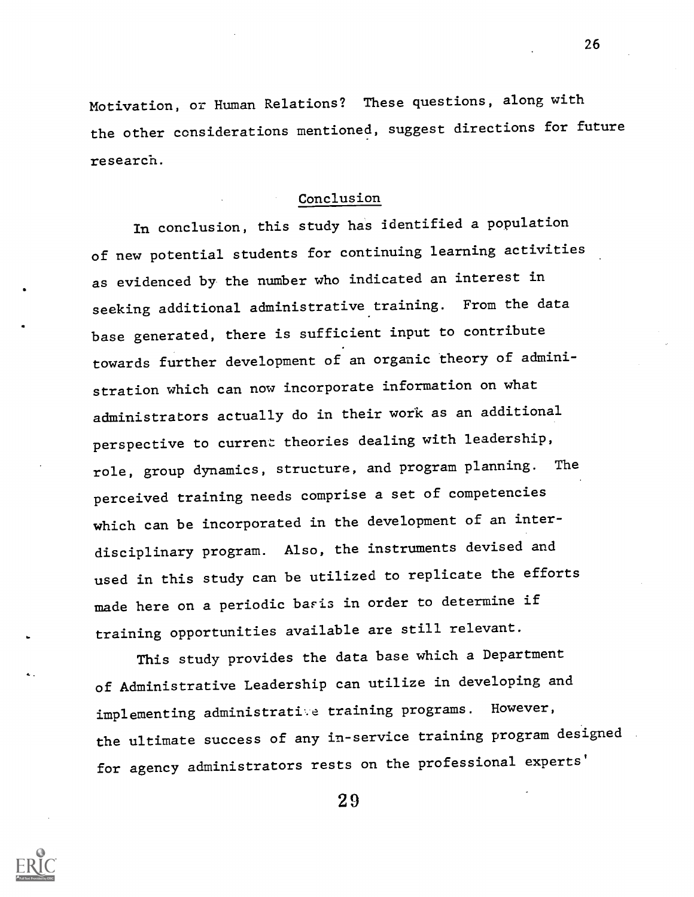Motivation, or Human Relations? These questions, along with the other considerations mentioned, suggest directions for future research.

#### Conclusion

In conclusion, this study has identified a population of new potential students for continuing learning activities as evidenced by the number who indicated an interest in seeking additional administrative training. From the data base generated, there is sufficient input to contribute towards further development of an organic theory of administration which can now incorporate information on what administrators actually do in their work as an additional perspective to current theories dealing with leadership, role, group dynamics, structure, and program planning. The perceived training needs comprise a set of competencies which can be incorporated in the development of an interdisciplinary program. Also, the instruments devised and used in this study can be utilized to replicate the efforts made here on a periodic baris in order to determine if training opportunities available are still relevant.

This study provides the data base which a Department of Administrative Leadership can utilize in developing and implementing administratite training programs. However, the ultimate success of any in-service training program designed for agency administrators rests on the professional experts'

2 9

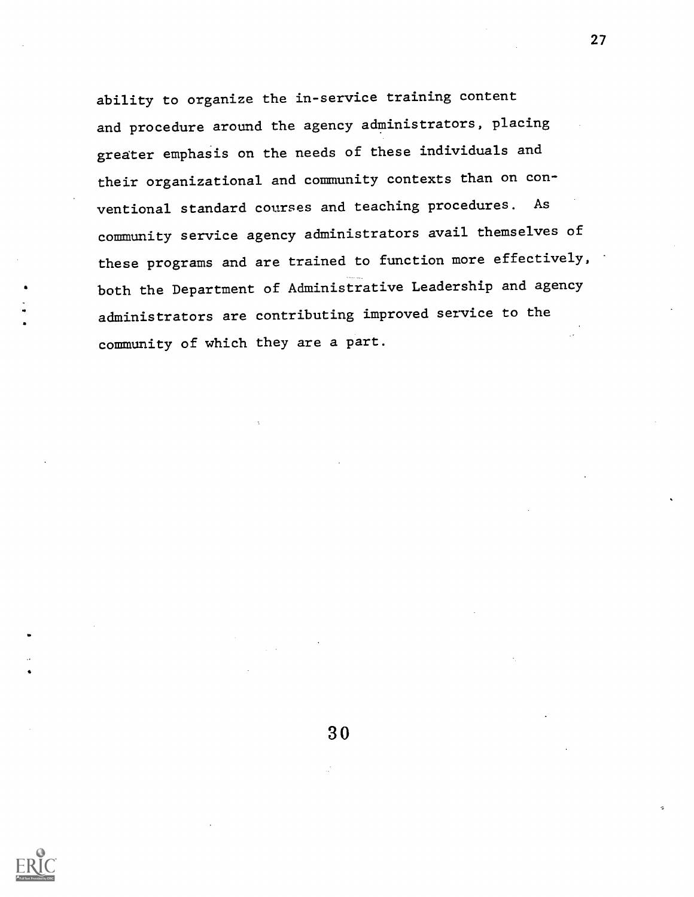ability to organize the in-service training content and procedure around the agency administrators, placing greater emphasis on the needs of these individuals and their organizational and community contexts than on conventional standard courses and teaching procedures. As community service agency administrators avail themselves of these programs and are trained to function more effectively, both the Department of Administrative Leadership and agency administrators are contributing improved service to the community of which they are a part.

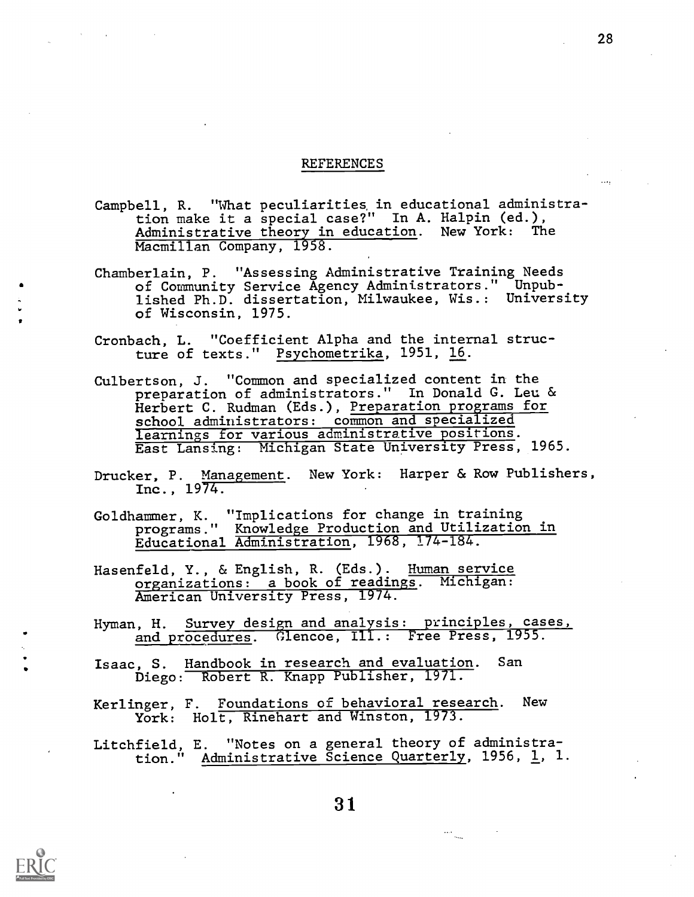#### REFERENCES

- Campbell, R. "What peculiarities in educational administration make it a special case?" In A. Halpin (ed.), Administrative theory in education. New York: The Macmillan Company, 1958.
- Chamberlain, P. "Assessing Administrative Training Needs of Community Service Agency Administrators." Unpublished Ph.D. dissertation, Milwaukee, Wis.: University of Wisconsin, 1975.
- Cronbach, L. "Coefficient Alpha and the internal structure of texts." Psychometrika, 1951, 16.
- Culbertson, J. "Common and specialized content in the preparation of administrators." In Donald G. Leu & Herbert C. Rudman (Eds.), Preparation programs for school administrators: common and specialized learnings for various administrative positions. East Lansing: Michigan State University Press, 1965.
- Drucker, P. Management. New York: Harper & Row Publishers, Inc., 1974.
- Goldhammer, K. "Implications for change in training programs." Knowledge Production and Utilization in Educational Administration, 1968, 174-184.
- Hasenfeld, Y., & English, R. (Eds.). Human service organizations: a book of readings. Michigan: American University Press, 1974.
- Hyman, H. Survey design and analysis: principles, cases, and procedures. Glencoe, Ill.: Free Press, 1955.
- Isaac, S. Handbook in research and evaluation. San Diego: Robert R. Knapp Publisher, 1971.
- Kerlinger, F. Foundations of behavioral research. New York: Holt, Rinehart and Winston, 1973.
- Litchfield, E. "Notes on a general theory of administration." <u>Administrative Science Quarterly</u>, 1956, <u>1</u>, 1.

 $\frac{1}{\sqrt{2}}$